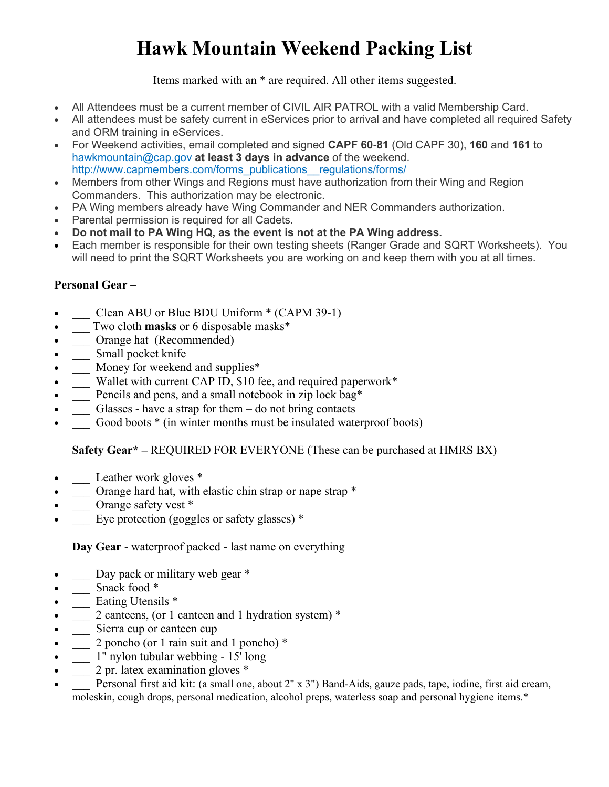## **Hawk Mountain Weekend Packing List**

Items marked with an \* are required. All other items suggested.

- All Attendees must be a current member of CIVIL AIR PATROL with a valid Membership Card.
- All attendees must be safety current in eServices prior to arrival and have completed all required Safety and ORM training in eServices.
- For Weekend activities, email completed and signed **CAPF 60-81** (Old CAPF 30), **160** and **161** to hawkmountain@cap.gov **at least 3 days in advance** of the weekend. http://www.capmembers.com/forms\_publications\_\_regulations/forms/
- Members from other Wings and Regions must have authorization from their Wing and Region Commanders. This authorization may be electronic.
- PA Wing members already have Wing Commander and NER Commanders authorization.
- Parental permission is required for all Cadets.
- **Do not mail to PA Wing HQ, as the event is not at the PA Wing address.**
- Each member is responsible for their own testing sheets (Ranger Grade and SQRT Worksheets). You will need to print the SQRT Worksheets you are working on and keep them with you at all times.

## **Personal Gear –**

- Clean ABU or Blue BDU Uniform \* (CAPM 39-1)
- \_\_\_ Two cloth **masks** or 6 disposable masks\*
- \_\_ Orange hat (Recommended)
- $\bullet$   $\quad$  Small pocket knife
- $\equiv$  Money for weekend and supplies\*
- \_\_\_ Wallet with current CAP ID, \$10 fee, and required paperwork\*
- Pencils and pens, and a small notebook in zip lock bag\*
- Glasses have a strap for them  $-$  do not bring contacts
- Good boots  $*$  (in winter months must be insulated waterproof boots)

## **Safety Gear\* –** REQUIRED FOR EVERYONE (These can be purchased at HMRS BX)

- $\frac{1}{2}$  Leather work gloves \*
- $\frac{1}{\sqrt{1-\frac{1}{\sqrt{1-\frac{1}{\sqrt{1-\frac{1}{\sqrt{1-\frac{1}{\sqrt{1-\frac{1}{\sqrt{1-\frac{1}{\sqrt{1-\frac{1}{\sqrt{1-\frac{1}{\sqrt{1-\frac{1}{\sqrt{1-\frac{1}{\sqrt{1-\frac{1}{\sqrt{1-\frac{1}{\sqrt{1-\frac{1}{\sqrt{1-\frac{1}{\sqrt{1-\frac{1}{\sqrt{1-\frac{1}{\sqrt{1-\frac{1}{\sqrt{1-\frac{1}{\sqrt{1-\frac{1}{\sqrt{1-\frac{1}{\sqrt{1-\frac{1}{\sqrt{1-\frac{1}{\sqrt{1-\frac{1}{\sqrt{1-\frac{1$
- \_\_\_ Orange safety vest \*
- Eye protection (goggles or safety glasses)  $*$

**Day Gear** - waterproof packed - last name on everything

- \_\_\_ Day pack or military web gear \*
- $\frac{1}{2}$  Snack food \*
- <u>Lating Utensils</u>
- \_\_\_ 2 canteens, (or 1 canteen and 1 hydration system) \*
- \_\_\_ Sierra cup or canteen cup
- 2 poncho (or 1 rain suit and 1 poncho)  $*$
- $\frac{1}{\sqrt{2}}$  1" nylon tubular webbing 15<sup>t</sup> long
- $\frac{1}{2}$  pr. latex examination gloves \*
- Personal first aid kit: (a small one, about 2" x 3") Band-Aids, gauze pads, tape, iodine, first aid cream, moleskin, cough drops, personal medication, alcohol preps, waterless soap and personal hygiene items.\*